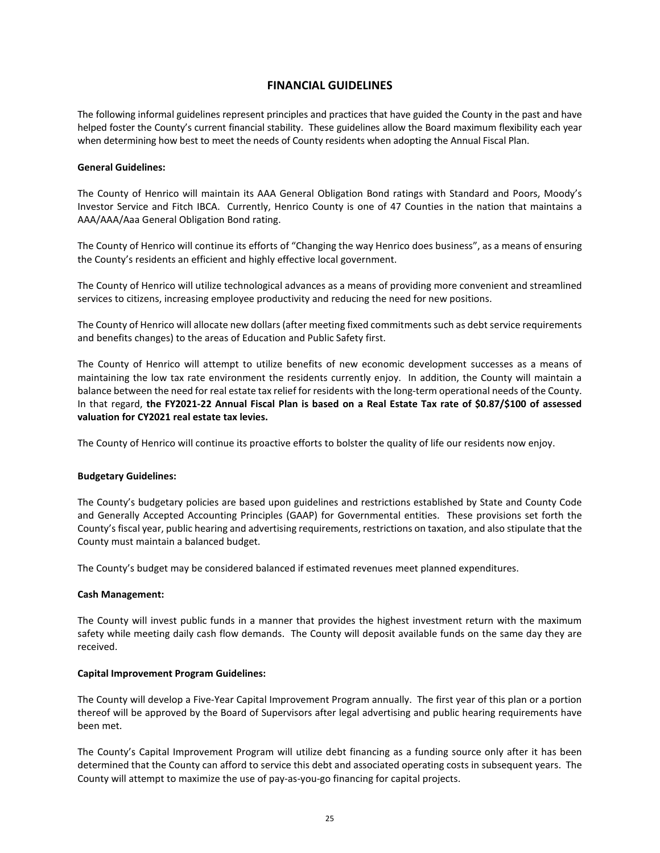# **FINANCIAL GUIDELINES**

The following informal guidelines represent principles and practices that have guided the County in the past and have helped foster the County's current financial stability. These guidelines allow the Board maximum flexibility each year when determining how best to meet the needs of County residents when adopting the Annual Fiscal Plan.

### **General Guidelines:**

The County of Henrico will maintain its AAA General Obligation Bond ratings with Standard and Poors, Moody's Investor Service and Fitch IBCA. Currently, Henrico County is one of 47 Counties in the nation that maintains a AAA/AAA/Aaa General Obligation Bond rating.

The County of Henrico will continue its efforts of "Changing the way Henrico does business", as a means of ensuring the County's residents an efficient and highly effective local government.

The County of Henrico will utilize technological advances as a means of providing more convenient and streamlined services to citizens, increasing employee productivity and reducing the need for new positions.

The County of Henrico will allocate new dollars (after meeting fixed commitments such as debt service requirements and benefits changes) to the areas of Education and Public Safety first.

The County of Henrico will attempt to utilize benefits of new economic development successes as a means of maintaining the low tax rate environment the residents currently enjoy. In addition, the County will maintain a balance between the need for real estate tax relief for residents with the long-term operational needs of the County. In that regard, **the FY2021-22 Annual Fiscal Plan is based on a Real Estate Tax rate of \$0.87/\$100 of assessed valuation for CY2021 real estate tax levies.**

The County of Henrico will continue its proactive efforts to bolster the quality of life our residents now enjoy.

### **Budgetary Guidelines:**

The County's budgetary policies are based upon guidelines and restrictions established by State and County Code and Generally Accepted Accounting Principles (GAAP) for Governmental entities. These provisions set forth the County's fiscal year, public hearing and advertising requirements, restrictions on taxation, and also stipulate that the County must maintain a balanced budget.

The County's budget may be considered balanced if estimated revenues meet planned expenditures.

### **Cash Management:**

The County will invest public funds in a manner that provides the highest investment return with the maximum safety while meeting daily cash flow demands. The County will deposit available funds on the same day they are received.

### **Capital Improvement Program Guidelines:**

The County will develop a Five-Year Capital Improvement Program annually. The first year of this plan or a portion thereof will be approved by the Board of Supervisors after legal advertising and public hearing requirements have been met.

The County's Capital Improvement Program will utilize debt financing as a funding source only after it has been determined that the County can afford to service this debt and associated operating costs in subsequent years. The County will attempt to maximize the use of pay-as-you-go financing for capital projects.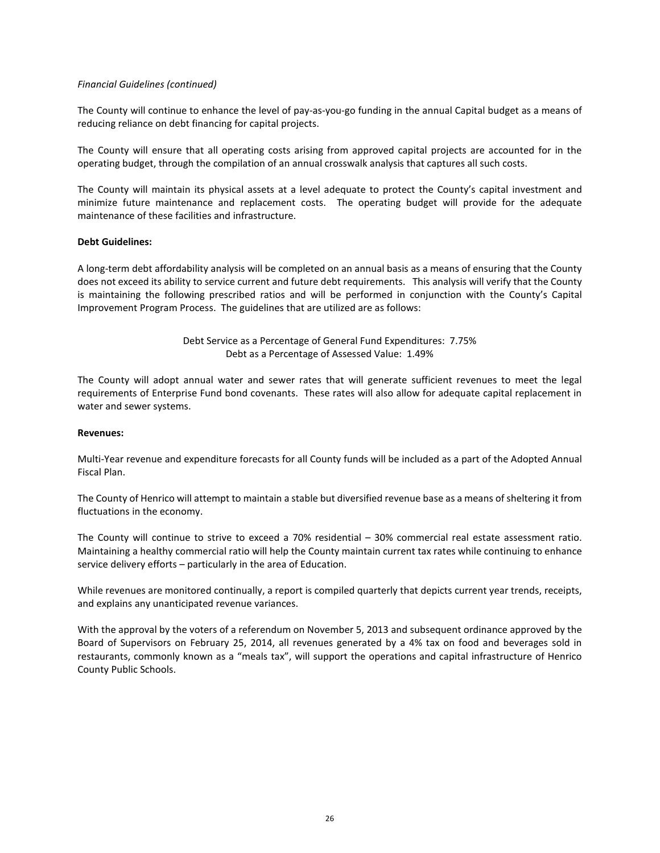### *Financial Guidelines (continued)*

The County will continue to enhance the level of pay-as-you-go funding in the annual Capital budget as a means of reducing reliance on debt financing for capital projects.

The County will ensure that all operating costs arising from approved capital projects are accounted for in the operating budget, through the compilation of an annual crosswalk analysis that captures all such costs.

The County will maintain its physical assets at a level adequate to protect the County's capital investment and minimize future maintenance and replacement costs. The operating budget will provide for the adequate maintenance of these facilities and infrastructure.

### **Debt Guidelines:**

A long-term debt affordability analysis will be completed on an annual basis as a means of ensuring that the County does not exceed its ability to service current and future debt requirements. This analysis will verify that the County is maintaining the following prescribed ratios and will be performed in conjunction with the County's Capital Improvement Program Process. The guidelines that are utilized are as follows:

> Debt Service as a Percentage of General Fund Expenditures: 7.75% Debt as a Percentage of Assessed Value: 1.49%

The County will adopt annual water and sewer rates that will generate sufficient revenues to meet the legal requirements of Enterprise Fund bond covenants. These rates will also allow for adequate capital replacement in water and sewer systems.

### **Revenues:**

Multi-Year revenue and expenditure forecasts for all County funds will be included as a part of the Adopted Annual Fiscal Plan.

The County of Henrico will attempt to maintain a stable but diversified revenue base as a means of sheltering it from fluctuations in the economy.

The County will continue to strive to exceed a 70% residential – 30% commercial real estate assessment ratio. Maintaining a healthy commercial ratio will help the County maintain current tax rates while continuing to enhance service delivery efforts – particularly in the area of Education.

While revenues are monitored continually, a report is compiled quarterly that depicts current year trends, receipts, and explains any unanticipated revenue variances.

With the approval by the voters of a referendum on November 5, 2013 and subsequent ordinance approved by the Board of Supervisors on February 25, 2014, all revenues generated by a 4% tax on food and beverages sold in restaurants, commonly known as a "meals tax", will support the operations and capital infrastructure of Henrico County Public Schools.